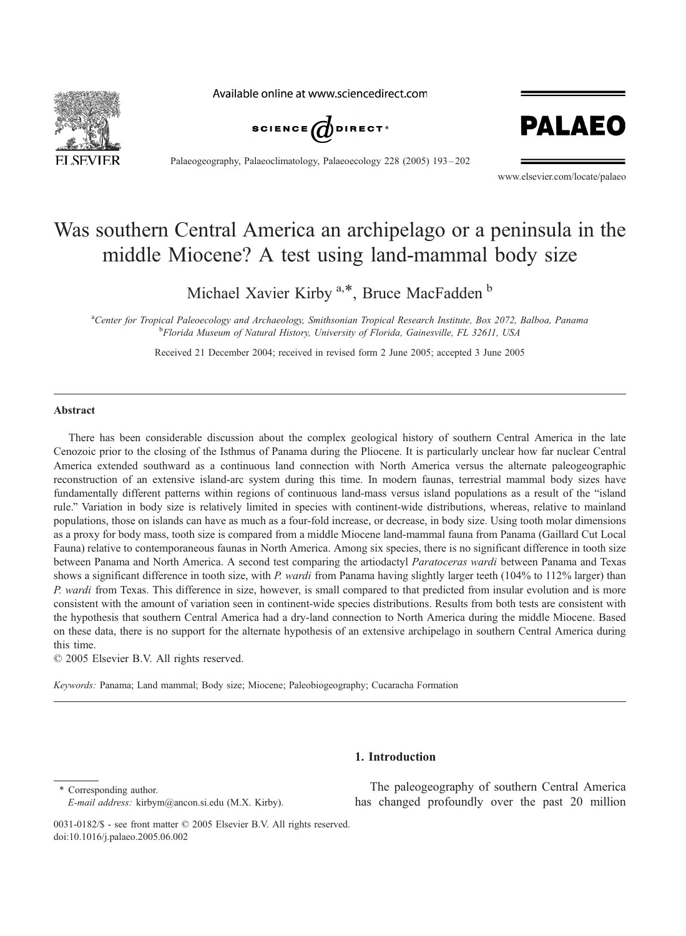

Available online at www.sciencedirect.com



Palaeogeography, Palaeoclimatology, Palaeoecology 228 (2005) 193 – 202



www.elsevier.com/locate/palaeo

# Was southern Central America an archipelago or a peninsula in the middle Miocene? A test using land-mammal body size

Michael Xavier Kirby <sup>a,\*</sup>, Bruce MacFadden b

<sup>a</sup>Center for Tropical Paleoecology and Archaeology, Smithsonian Tropical Research Institute, Box 2072, Balboa, Panama<br>b Elevida Museum of Natural History, University of Florida Cainemilla EL 22611, USA <sup>b</sup>Florida Museum of Natural History, University of Florida, Gainesville, FL 32611, USA

Received 21 December 2004; received in revised form 2 June 2005; accepted 3 June 2005

#### **Abstract**

There has been considerable discussion about the complex geological history of southern Central America in the late Cenozoic prior to the closing of the Isthmus of Panama during the Pliocene. It is particularly unclear how far nuclear Central America extended southward as a continuous land connection with North America versus the alternate paleogeographic reconstruction of an extensive island-arc system during this time. In modern faunas, terrestrial mammal body sizes have fundamentally different patterns within regions of continuous land-mass versus island populations as a result of the "island rule." Variation in body size is relatively limited in species with continent-wide distributions, whereas, relative to mainland populations, those on islands can have as much as a four-fold increase, or decrease, in body size. Using tooth molar dimensions as a proxy for body mass, tooth size is compared from a middle Miocene land-mammal fauna from Panama (Gaillard Cut Local Fauna) relative to contemporaneous faunas in North America. Among six species, there is no significant difference in tooth size between Panama and North America. A second test comparing the artiodactyl Paratoceras wardi between Panama and Texas shows a significant difference in tooth size, with P. wardi from Panama having slightly larger teeth (104% to 112% larger) than P. wardi from Texas. This difference in size, however, is small compared to that predicted from insular evolution and is more consistent with the amount of variation seen in continent-wide species distributions. Results from both tests are consistent with the hypothesis that southern Central America had a dry-land connection to North America during the middle Miocene. Based on these data, there is no support for the alternate hypothesis of an extensive archipelago in southern Central America during this time.

 $© 2005 Elsevier B.V. All rights reserved.$ 

Keywords: Panama; Land mammal; Body size; Miocene; Paleobiogeography; Cucaracha Formation

#### 1. Introduction

\* Corresponding author. E-mail address: kirbym@ancon.si.edu (M.X. Kirby).

The paleogeography of southern Central America has changed profoundly over the past 20 million

<sup>0031-0182/\$ -</sup> see front matter  $\odot$  2005 Elsevier B.V. All rights reserved. doi:10.1016/j.palaeo.2005.06.002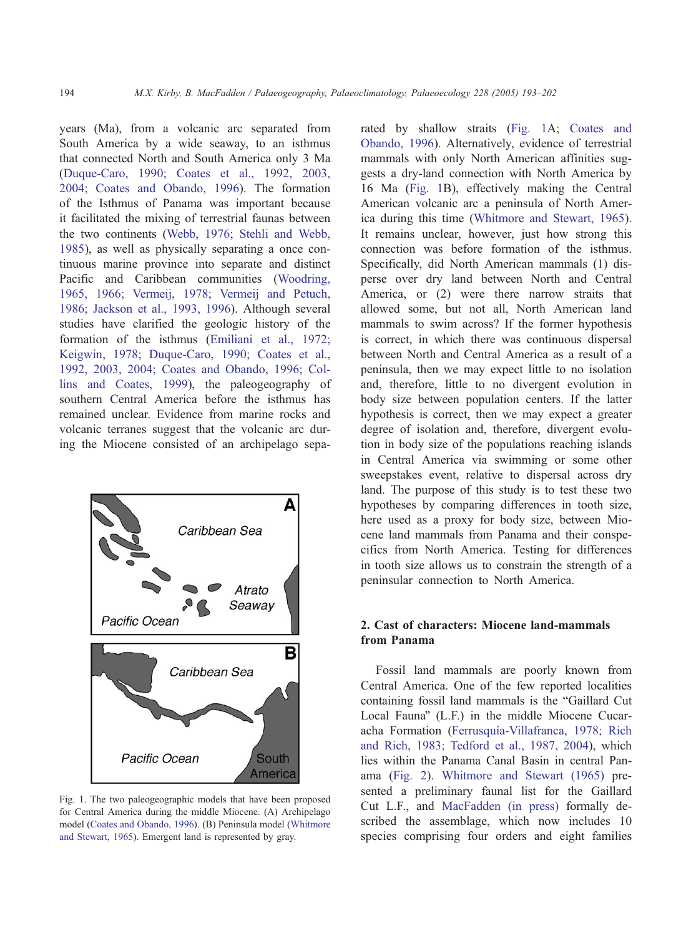years (Ma), from a volcanic arc separated from South America by a wide seaway, to an isthmus that connected North and South America only 3 Ma ([Duque-Caro, 1990; Coates et al., 1992, 2003,](#page-8-0) 2004; Coates and Obando, 1996). The formation of the Isthmus of Panama was important because it facilitated the mixing of terrestrial faunas between the two continents ([Webb, 1976; Stehli and Webb,](#page-9-0) 1985), as well as physically separating a once continuous marine province into separate and distinct Pacific and Caribbean communities ([Woodring,](#page-9-0) 1965, 1966; Vermeij, 1978; Vermeij and Petuch, 1986; Jackson et al., 1993, 1996). Although several studies have clarified the geologic history of the formation of the isthmus ([Emiliani et al., 1972;](#page-8-0) Keigwin, 1978; Duque-Caro, 1990; Coates et al., 1992, 2003, 2004; Coates and Obando, 1996; Collins and Coates, 1999), the paleogeography of southern Central America before the isthmus has remained unclear. Evidence from marine rocks and volcanic terranes suggest that the volcanic arc during the Miocene consisted of an archipelago sepa-



Fig. 1. The two paleogeographic models that have been proposed for Central America during the middle Miocene. (A) Archipelago model ([Coates and Obando, 1996\)](#page-8-0). (B) Peninsula model ([Whitmore](#page-9-0) and Stewart, 1965). Emergent land is represented by gray.

rated by shallow straits (Fig. 1A; [Coates and](#page-8-0) Obando, 1996). Alternatively, evidence of terrestrial mammals with only North American affinities suggests a dry-land connection with North America by 16 Ma (Fig. 1B), effectively making the Central American volcanic arc a peninsula of North America during this time ([Whitmore and Stewart, 1965\)](#page-9-0). It remains unclear, however, just how strong this connection was before formation of the isthmus. Specifically, did North American mammals (1) disperse over dry land between North and Central America, or (2) were there narrow straits that allowed some, but not all, North American land mammals to swim across? If the former hypothesis is correct, in which there was continuous dispersal between North and Central America as a result of a peninsula, then we may expect little to no isolation and, therefore, little to no divergent evolution in body size between population centers. If the latter hypothesis is correct, then we may expect a greater degree of isolation and, therefore, divergent evolution in body size of the populations reaching islands in Central America via swimming or some other sweepstakes event, relative to dispersal across dry land. The purpose of this study is to test these two hypotheses by comparing differences in tooth size, here used as a proxy for body size, between Miocene land mammals from Panama and their conspecifics from North America. Testing for differences in tooth size allows us to constrain the strength of a peninsular connection to North America.

# 2. Cast of characters: Miocene land-mammals from Panama

Fossil land mammals are poorly known from Central America. One of the few reported localities containing fossil land mammals is the "Gaillard Cut Local Fauna" (L.F.) in the middle Miocene Cucaracha Formation (Ferrusquía-Villafranca, 1978; Rich and Rich, 1983; Tedford et al., 1987, 2004), which lies within the Panama Canal Basin in central Panama ([Fig. 2\)](#page-2-0). [Whitmore and Stewart \(1965\)](#page-9-0) presented a preliminary faunal list for the Gaillard Cut L.F., and [MacFadden \(in press\)](#page-9-0) formally described the assemblage, which now includes 10 species comprising four orders and eight families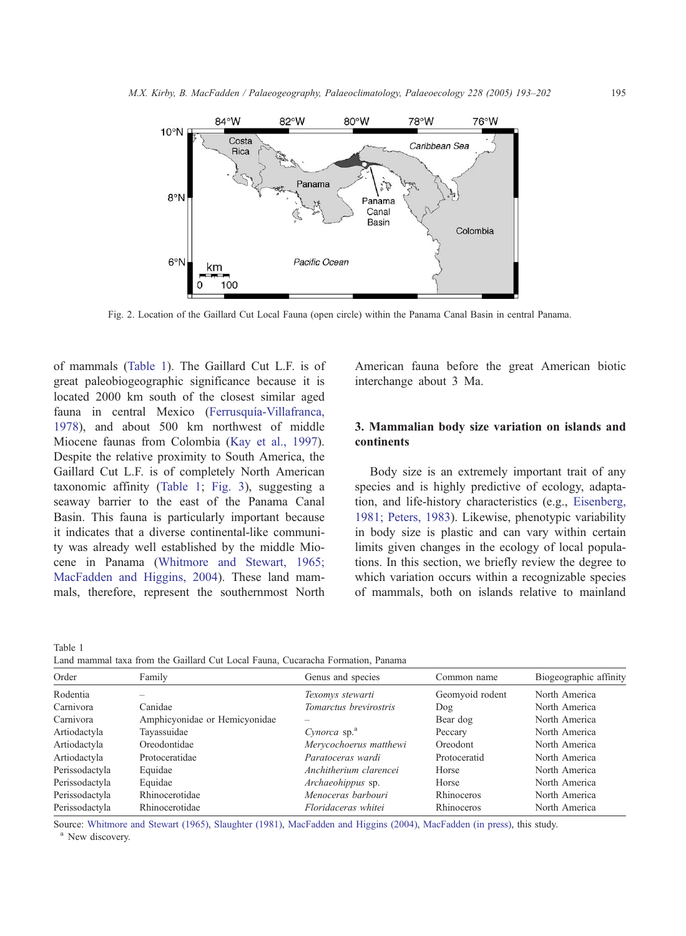<span id="page-2-0"></span>

Fig. 2. Location of the Gaillard Cut Local Fauna (open circle) within the Panama Canal Basin in central Panama.

of mammals (Table 1). The Gaillard Cut L.F. is of great paleobiogeographic significance because it is located 2000 km south of the closest similar aged fauna in central Mexico (Ferrusquía-Villafranca, 1978), and about 500 km northwest of middle Miocene faunas from Colombia ([Kay et al., 1997\)](#page-8-0). Despite the relative proximity to South America, the Gaillard Cut L.F. is of completely North American taxonomic affinity (Table 1; [Fig. 3\)](#page-3-0), suggesting a seaway barrier to the east of the Panama Canal Basin. This fauna is particularly important because it indicates that a diverse continental-like community was already well established by the middle Miocene in Panama ([Whitmore and Stewart, 1965;](#page-9-0) MacFadden and Higgins, 2004). These land mammals, therefore, represent the southernmost North American fauna before the great American biotic interchange about 3 Ma.

# 3. Mammalian body size variation on islands and continents

Body size is an extremely important trait of any species and is highly predictive of ecology, adaptation, and life-history characteristics (e.g., [Eisenberg,](#page-8-0) 1981; Peters, 1983). Likewise, phenotypic variability in body size is plastic and can vary within certain limits given changes in the ecology of local populations. In this section, we briefly review the degree to which variation occurs within a recognizable species of mammals, both on islands relative to mainland

Table 1 Land mammal taxa from the Gaillard Cut Local Fauna, Cucaracha Formation, Panama

| Order          | Family                        | Genus and species        | Common name       | Biogeographic affinity |  |
|----------------|-------------------------------|--------------------------|-------------------|------------------------|--|
| Rodentia       |                               | Texomys stewarti         | Geomyoid rodent   | North America          |  |
| Carnivora      | Canidae                       | Tomarctus brevirostris   | Dog               | North America          |  |
| Carnivora      | Amphicyonidae or Hemicyonidae |                          | Bear dog          | North America          |  |
| Artiodactyla   | Tayassuidae                   | Cynorca sp. <sup>a</sup> | Peccary           | North America          |  |
| Artiodactyla   | Oreodontidae                  | Merycochoerus matthewi   | Oreodont          | North America          |  |
| Artiodactyla   | Protoceratidae                | Paratoceras wardi        | Protoceratid      | North America          |  |
| Perissodactyla | Equidae                       | Anchitherium clarencei   | Horse             | North America          |  |
| Perissodactyla | Equidae                       | Archaeohippus sp.        | Horse             | North America          |  |
| Perissodactyla | Rhinocerotidae                | Menoceras barbouri       | <b>Rhinoceros</b> | North America          |  |
| Perissodactyla | Rhinocerotidae                | Floridaceras whitei      | Rhinoceros        | North America          |  |

Source: [Whitmore and Stewart \(1965\),](#page-9-0) [Slaughter \(1981\),](#page-9-0) [MacFadden and Higgins \(2004\),](#page-9-0) [MacFadden \(in press\),](#page-9-0) this study.<br><sup>a</sup> New discovery.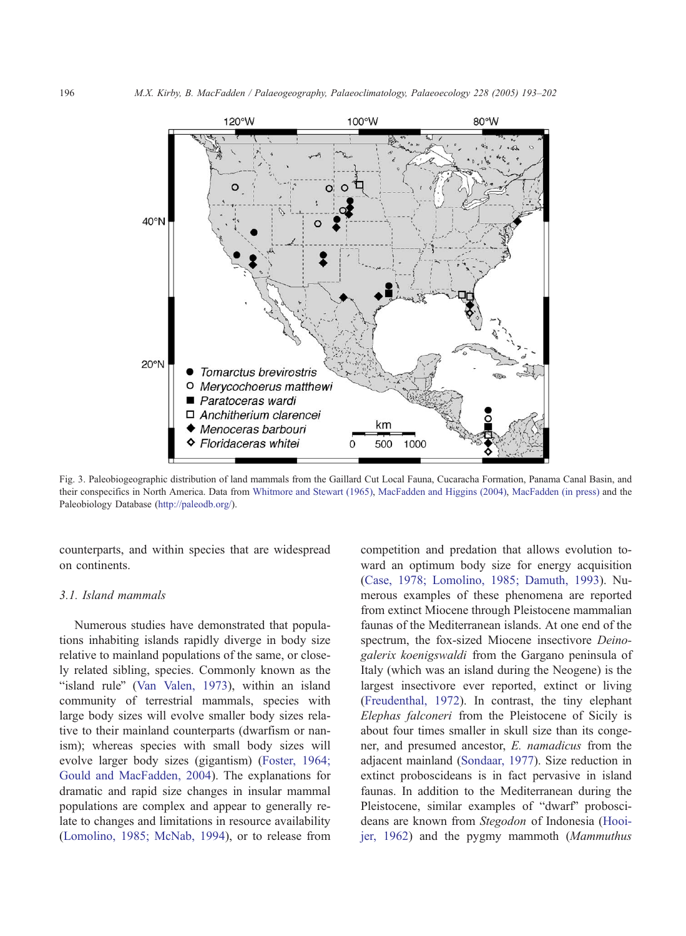<span id="page-3-0"></span>

Fig. 3. Paleobiogeographic distribution of land mammals from the Gaillard Cut Local Fauna, Cucaracha Formation, Panama Canal Basin, and their conspecifics in North America. Data from [Whitmore and Stewart \(1965\),](#page-9-0) [MacFadden and Higgins \(2004\),](#page-9-0) [MacFadden \(in press\)](#page-9-0) and the Paleobiology Database ([http://paleodb.org/\)](http://paleodb.org/).

counterparts, and within species that are widespread on continents.

#### 3.1. Island mammals

Numerous studies have demonstrated that populations inhabiting islands rapidly diverge in body size relative to mainland populations of the same, or closely related sibling, species. Commonly known as the "island rule" ([Van Valen, 1973\)](#page-9-0), within an island community of terrestrial mammals, species with large body sizes will evolve smaller body sizes relative to their mainland counterparts (dwarfism or nanism); whereas species with small body sizes will evolve larger body sizes (gigantism) ([Foster, 1964;](#page-8-0) Gould and MacFadden, 2004). The explanations for dramatic and rapid size changes in insular mammal populations are complex and appear to generally relate to changes and limitations in resource availability ([Lomolino, 1985; McNab, 1994\)](#page-8-0), or to release from

competition and predation that allows evolution toward an optimum body size for energy acquisition ([Case, 1978; Lomolino, 1985; Damuth, 1993\)](#page-8-0). Numerous examples of these phenomena are reported from extinct Miocene through Pleistocene mammalian faunas of the Mediterranean islands. At one end of the spectrum, the fox-sized Miocene insectivore Deinogalerix koenigswaldi from the Gargano peninsula of Italy (which was an island during the Neogene) is the largest insectivore ever reported, extinct or living ([Freudenthal, 1972\)](#page-8-0). In contrast, the tiny elephant Elephas falconeri from the Pleistocene of Sicily is about four times smaller in skull size than its congener, and presumed ancestor, E. namadicus from the adjacent mainland ([Sondaar, 1977\)](#page-9-0). Size reduction in extinct proboscideans is in fact pervasive in island faunas. In addition to the Mediterranean during the Pleistocene, similar examples of "dwarf" proboscideans are known from Stegodon of Indonesia ([Hooi](#page-8-0)jer, 1962) and the pygmy mammoth (Mammuthus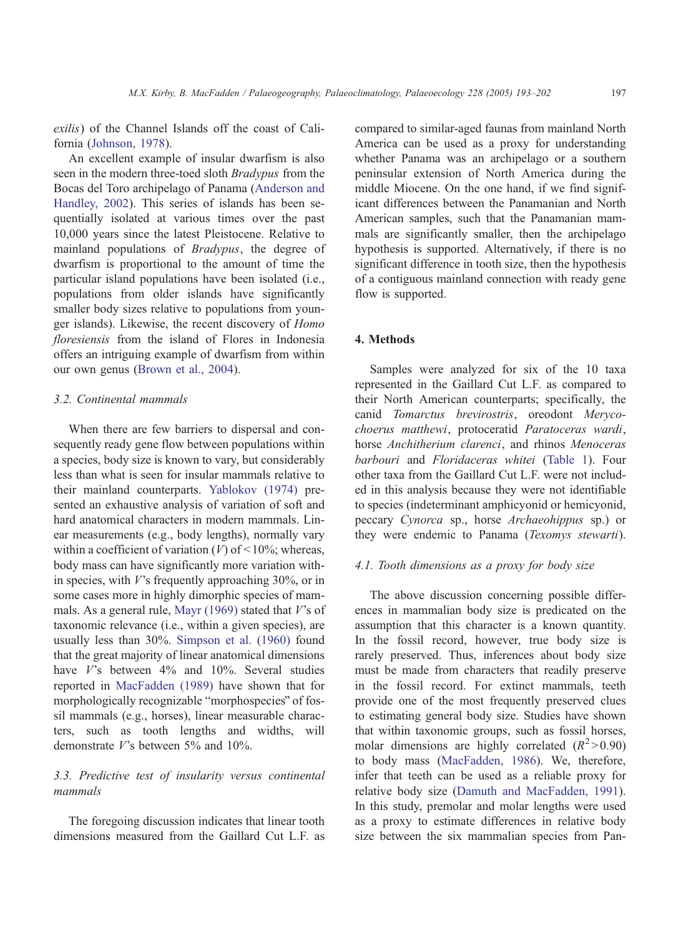exilis) of the Channel Islands off the coast of California ([Johnson, 1978](#page-8-0)).

An excellent example of insular dwarfism is also seen in the modern three-toed sloth Bradypus from the Bocas del Toro archipelago of Panama ([Anderson and](#page-8-0) Handley, 2002). This series of islands has been sequentially isolated at various times over the past 10,000 years since the latest Pleistocene. Relative to mainland populations of Bradypus, the degree of dwarfism is proportional to the amount of time the particular island populations have been isolated (i.e., populations from older islands have significantly smaller body sizes relative to populations from younger islands). Likewise, the recent discovery of Homo floresiensis from the island of Flores in Indonesia offers an intriguing example of dwarfism from within our own genus ([Brown et al., 2004\)](#page-8-0).

#### 3.2. Continental mammals

When there are few barriers to dispersal and consequently ready gene flow between populations within a species, body size is known to vary, but considerably less than what is seen for insular mammals relative to their mainland counterparts. [Yablokov \(1974\)](#page-9-0) presented an exhaustive analysis of variation of soft and hard anatomical characters in modern mammals. Linear measurements (e.g., body lengths), normally vary within a coefficient of variation (V) of  $\leq 10\%$ ; whereas, body mass can have significantly more variation within species, with  $V$ 's frequently approaching 30%, or in some cases more in highly dimorphic species of mam-mals. As a general rule, [Mayr \(1969\)](#page-9-0) stated that  $V$ 's of taxonomic relevance (i.e., within a given species), are usually less than 30%. [Simpson et al. \(1960\)](#page-9-0) found that the great majority of linear anatomical dimensions have V's between 4% and 10%. Several studies reported in [MacFadden \(1989\)](#page-8-0) have shown that for morphologically recognizable "morphospecies" of fossil mammals (e.g., horses), linear measurable characters, such as tooth lengths and widths, will demonstrate  $V$ 's between 5% and 10%.

# 3.3. Predictive test of insularity versus continental mammals

The foregoing discussion indicates that linear tooth dimensions measured from the Gaillard Cut L.F. as compared to similar-aged faunas from mainland North America can be used as a proxy for understanding whether Panama was an archipelago or a southern peninsular extension of North America during the middle Miocene. On the one hand, if we find significant differences between the Panamanian and North American samples, such that the Panamanian mammals are significantly smaller, then the archipelago hypothesis is supported. Alternatively, if there is no significant difference in tooth size, then the hypothesis of a contiguous mainland connection with ready gene flow is supported.

#### 4. Methods

Samples were analyzed for six of the 10 taxa represented in the Gaillard Cut L.F. as compared to their North American counterparts; specifically, the canid Tomarctus brevirostris, oreodont Merycochoerus matthewi, protoceratid Paratoceras wardi, horse Anchitherium clarenci, and rhinos Menoceras barbouri and Floridaceras whitei ([Table 1\)](#page-2-0). Four other taxa from the Gaillard Cut L.F. were not included in this analysis because they were not identifiable to species (indeterminant amphicyonid or hemicyonid, peccary Cynorca sp., horse Archaeohippus sp.) or they were endemic to Panama (Texomys stewarti).

#### 4.1. Tooth dimensions as a proxy for body size

The above discussion concerning possible differences in mammalian body size is predicated on the assumption that this character is a known quantity. In the fossil record, however, true body size is rarely preserved. Thus, inferences about body size must be made from characters that readily preserve in the fossil record. For extinct mammals, teeth provide one of the most frequently preserved clues to estimating general body size. Studies have shown that within taxonomic groups, such as fossil horses, molar dimensions are highly correlated  $(R^2 > 0.90)$ to body mass ([MacFadden, 1986\)](#page-8-0). We, therefore, infer that teeth can be used as a reliable proxy for relative body size ([Damuth and MacFadden, 1991\)](#page-8-0). In this study, premolar and molar lengths were used as a proxy to estimate differences in relative body size between the six mammalian species from Pan-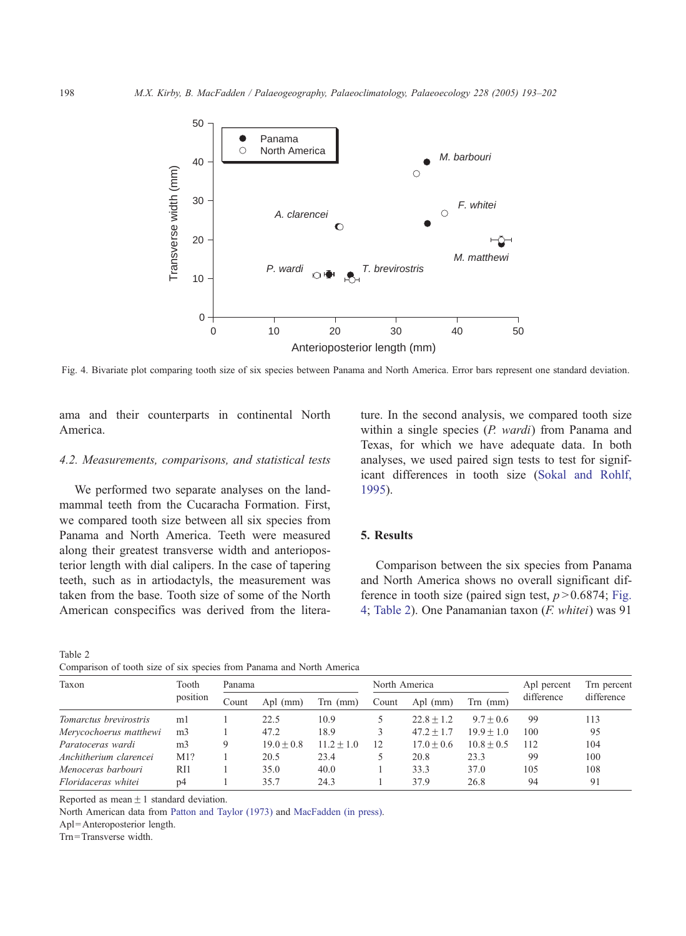

Fig. 4. Bivariate plot comparing tooth size of six species between Panama and North America. Error bars represent one standard deviation.

ama and their counterparts in continental North America.

### 4.2. Measurements, comparisons, and statistical tests

We performed two separate analyses on the landmammal teeth from the Cucaracha Formation. First, we compared tooth size between all six species from Panama and North America. Teeth were measured along their greatest transverse width and anterioposterior length with dial calipers. In the case of tapering teeth, such as in artiodactyls, the measurement was taken from the base. Tooth size of some of the North American conspecifics was derived from the literature. In the second analysis, we compared tooth size within a single species (P. wardi) from Panama and Texas, for which we have adequate data. In both analyses, we used paired sign tests to test for significant differences in tooth size ([Sokal and Rohlf,](#page-9-0) 1995).

#### 5. Results

Comparison between the six species from Panama and North America shows no overall significant difference in tooth size (paired sign test,  $p > 0.6874$ ; Fig. 4; Table 2). One Panamanian taxon (F. whitei) was 91

| Taxon                  | Tooth<br>position | Panama |              |              | North America |              |              | Apl percent | Trn percent |
|------------------------|-------------------|--------|--------------|--------------|---------------|--------------|--------------|-------------|-------------|
|                        |                   | Count  | Apl (mm)     | $Tm$ (mm)    | Count         | Apl (mm)     | Trn (mm)     | difference  | difference  |
| Tomarctus brevirostris | ml                |        | 22.5         | 10.9         |               | $22.8 + 1.2$ | $9.7 + 0.6$  | 99          | 113         |
| Merycochoerus matthewi | m <sub>3</sub>    |        | 47.2         | 18.9         | 3             | $47.2 + 1.7$ | $19.9 + 1.0$ | 100         | 95          |
| Paratoceras wardi      | m <sub>3</sub>    | 9      | $19.0 + 0.8$ | $11.2 + 1.0$ | 12            | $17.0 + 0.6$ | $10.8 + 0.5$ | 112         | 104         |
| Anchitherium clarencei | M1?               |        | 20.5         | 23.4         |               | 20.8         | 23.3         | 99          | 100         |
| Menoceras barbouri     | RI1               |        | 35.0         | 40.0         |               | 33.3         | 37.0         | 105         | 108         |
| Floridaceras whitei    | p4                |        | 35.7         | 24.3         |               | 37.9         | 26.8         | 94          | 91          |

Reported as mean  $\pm 1$  standard deviation.

North American data from [Patton and Taylor \(1973\)](#page-9-0) and [MacFadden \(in press\).](#page-9-0)

Apl = Anteroposterior length.

Trn = Transverse width.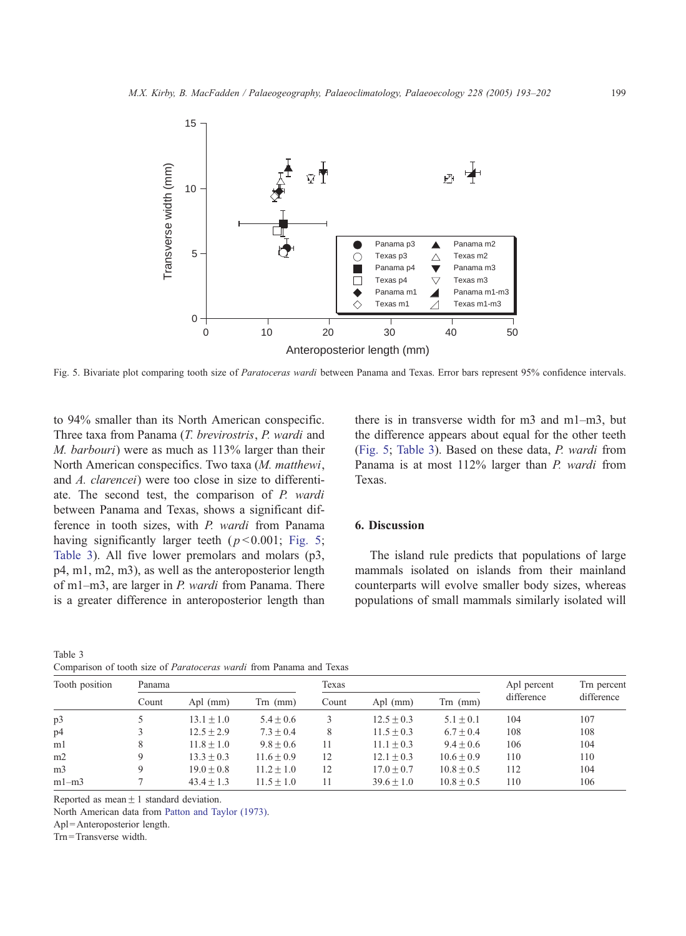

Fig. 5. Bivariate plot comparing tooth size of Paratoceras wardi between Panama and Texas. Error bars represent 95% confidence intervals.

to 94% smaller than its North American conspecific. Three taxa from Panama (T. brevirostris, P. wardi and M. barbouri) were as much as 113% larger than their North American conspecifics. Two taxa (M. matthewi, and A. clarencei) were too close in size to differentiate. The second test, the comparison of P. wardi between Panama and Texas, shows a significant difference in tooth sizes, with P. wardi from Panama having significantly larger teeth ( $p < 0.001$ ; Fig. 5; Table 3). All five lower premolars and molars (p3, p4, m1, m2, m3), as well as the anteroposterior length of m1–m3, are larger in P. wardi from Panama. There is a greater difference in anteroposterior length than

| there is in transverse width for m3 and m1-m3, but     |
|--------------------------------------------------------|
| the difference appears about equal for the other teeth |
| (Fig. 5; Table 3). Based on these data, P. wardi from  |
| Panama is at most 112% larger than P. wardi from       |
| Texas.                                                 |

#### 6. Discussion

The island rule predicts that populations of large mammals isolated on islands from their mainland counterparts will evolve smaller body sizes, whereas populations of small mammals similarly isolated will

| Table 3                                                                    |  |  |  |  |  |
|----------------------------------------------------------------------------|--|--|--|--|--|
| Comparison of tooth size of <i>Paratoceras wardi</i> from Panama and Texas |  |  |  |  |  |

| Tooth position | Panama |                |              | Texas |                | Apl percent   | Trn percent |            |
|----------------|--------|----------------|--------------|-------|----------------|---------------|-------------|------------|
|                | Count  | Apl $(mm)$     | $Trn$ (mm)   | Count | Apl $(mm)$     | $Tm$ ( $mm$ ) | difference  | difference |
| p3             |        | $13.1 \pm 1.0$ | $5.4 + 0.6$  |       | $12.5 \pm 0.3$ | $5.1 + 0.1$   | 104         | 107        |
| p4             |        | $12.5 + 2.9$   | $7.3 + 0.4$  | 8     | $11.5 \pm 0.3$ | $6.7 \pm 0.4$ | 108         | 108        |
| m1             |        | $11.8 + 1.0$   | $9.8 + 0.6$  | 11    | $11.1 \pm 0.3$ | $9.4 + 0.6$   | 106         | 104        |
| m2             |        | $13.3 \pm 0.3$ | $11.6 + 0.9$ | 12    | $12.1 \pm 0.3$ | $10.6 + 0.9$  | 110         | 110        |
| m3             |        | $19.0 + 0.8$   | $11.2 + 1.0$ | 12    | $17.0 \pm 0.7$ | $10.8 + 0.5$  | 112         | 104        |
| $m1-m3$        |        | $43.4 \pm 1.3$ | $11.5 + 1.0$ | 11    | $39.6 \pm 1.0$ | $10.8 + 0.5$  | 110         | 106        |
|                |        |                |              |       |                |               |             |            |

Reported as mean  $\pm 1$  standard deviation.

North American data from [Patton and Taylor \(1973\).](#page-9-0)

Apl = Anteroposterior length.

Trn =Transverse width.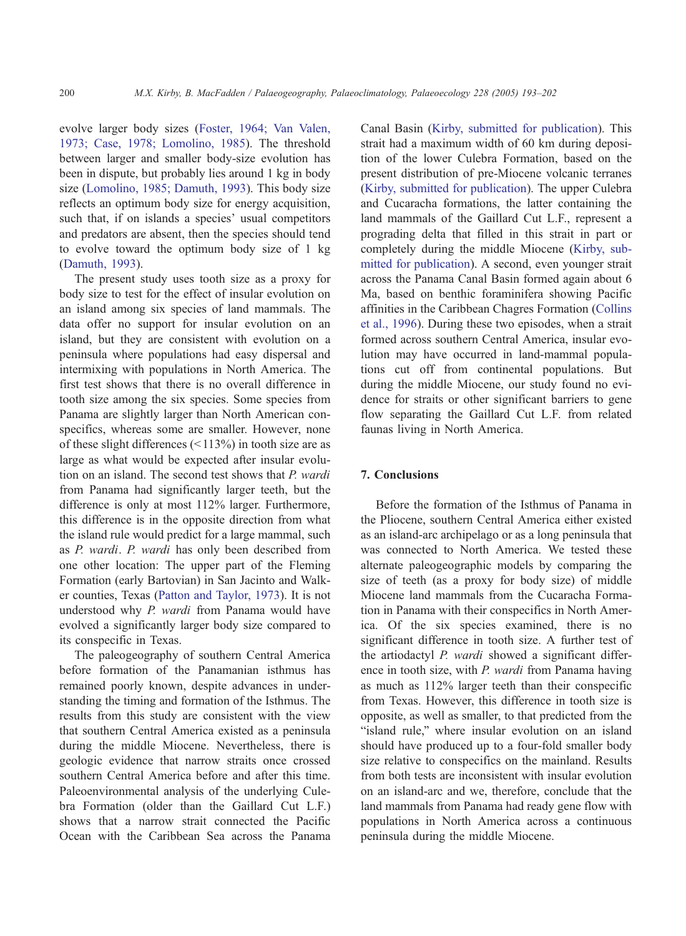evolve larger body sizes ([Foster, 1964; Van Valen,](#page-8-0) 1973; Case, 1978; Lomolino, 1985). The threshold between larger and smaller body-size evolution has been in dispute, but probably lies around 1 kg in body size ([Lomolino, 1985; Damuth, 1993\)](#page-8-0). This body size reflects an optimum body size for energy acquisition, such that, if on islands a species' usual competitors and predators are absent, then the species should tend to evolve toward the optimum body size of 1 kg ([Damuth, 1993](#page-8-0)).

The present study uses tooth size as a proxy for body size to test for the effect of insular evolution on an island among six species of land mammals. The data offer no support for insular evolution on an island, but they are consistent with evolution on a peninsula where populations had easy dispersal and intermixing with populations in North America. The first test shows that there is no overall difference in tooth size among the six species. Some species from Panama are slightly larger than North American conspecifics, whereas some are smaller. However, none of these slight differences  $\left($  < 113%) in tooth size are as large as what would be expected after insular evolution on an island. The second test shows that P. wardi from Panama had significantly larger teeth, but the difference is only at most 112% larger. Furthermore, this difference is in the opposite direction from what the island rule would predict for a large mammal, such as P. wardi. P. wardi has only been described from one other location: The upper part of the Fleming Formation (early Bartovian) in San Jacinto and Walker counties, Texas ([Patton and Taylor, 1973\)](#page-9-0). It is not understood why P. wardi from Panama would have evolved a significantly larger body size compared to its conspecific in Texas.

The paleogeography of southern Central America before formation of the Panamanian isthmus has remained poorly known, despite advances in understanding the timing and formation of the Isthmus. The results from this study are consistent with the view that southern Central America existed as a peninsula during the middle Miocene. Nevertheless, there is geologic evidence that narrow straits once crossed southern Central America before and after this time. Paleoenvironmental analysis of the underlying Culebra Formation (older than the Gaillard Cut L.F.) shows that a narrow strait connected the Pacific Ocean with the Caribbean Sea across the Panama Canal Basin ([Kirby, submitted for publication\)](#page-8-0). This strait had a maximum width of 60 km during deposition of the lower Culebra Formation, based on the present distribution of pre-Miocene volcanic terranes ([Kirby, submitted for publication\)](#page-8-0). The upper Culebra and Cucaracha formations, the latter containing the land mammals of the Gaillard Cut L.F., represent a prograding delta that filled in this strait in part or completely during the middle Miocene ([Kirby, sub](#page-8-0)mitted for publication). A second, even younger strait across the Panama Canal Basin formed again about 6 Ma, based on benthic foraminifera showing Pacific affinities in the Caribbean Chagres Formation ([Collins](#page-8-0) et al., 1996). During these two episodes, when a strait formed across southern Central America, insular evolution may have occurred in land-mammal populations cut off from continental populations. But during the middle Miocene, our study found no evidence for straits or other significant barriers to gene flow separating the Gaillard Cut L.F. from related faunas living in North America.

## 7. Conclusions

Before the formation of the Isthmus of Panama in the Pliocene, southern Central America either existed as an island-arc archipelago or as a long peninsula that was connected to North America. We tested these alternate paleogeographic models by comparing the size of teeth (as a proxy for body size) of middle Miocene land mammals from the Cucaracha Formation in Panama with their conspecifics in North America. Of the six species examined, there is no significant difference in tooth size. A further test of the artiodactyl P. wardi showed a significant difference in tooth size, with P. wardi from Panama having as much as 112% larger teeth than their conspecific from Texas. However, this difference in tooth size is opposite, as well as smaller, to that predicted from the "island rule," where insular evolution on an island should have produced up to a four-fold smaller body size relative to conspecifics on the mainland. Results from both tests are inconsistent with insular evolution on an island-arc and we, therefore, conclude that the land mammals from Panama had ready gene flow with populations in North America across a continuous peninsula during the middle Miocene.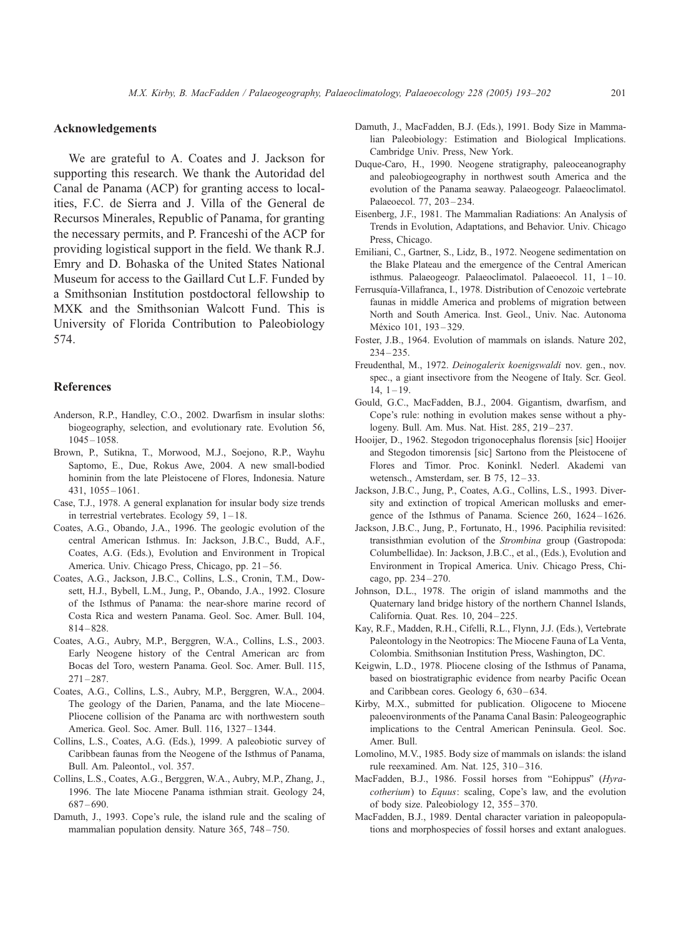## <span id="page-8-0"></span>Acknowledgements

We are grateful to A. Coates and J. Jackson for supporting this research. We thank the Autoridad del Canal de Panama (ACP) for granting access to localities, F.C. de Sierra and J. Villa of the General de Recursos Minerales, Republic of Panama, for granting the necessary permits, and P. Franceshi of the ACP for providing logistical support in the field. We thank R.J. Emry and D. Bohaska of the United States National Museum for access to the Gaillard Cut L.F. Funded by a Smithsonian Institution postdoctoral fellowship to MXK and the Smithsonian Walcott Fund. This is University of Florida Contribution to Paleobiology 574.

#### References

- Anderson, R.P., Handley, C.O., 2002. Dwarfism in insular sloths: biogeography, selection, and evolutionary rate. Evolution 56,  $1045 - 1058.$
- Brown, P., Sutikna, T., Morwood, M.J., Soejono, R.P., Wayhu Saptomo, E., Due, Rokus Awe, 2004. A new small-bodied hominin from the late Pleistocene of Flores, Indonesia. Nature 431, 1055 – 1061.
- Case, T.J., 1978. A general explanation for insular body size trends in terrestrial vertebrates. Ecology 59,  $1 - 18$ .
- Coates, A.G., Obando, J.A., 1996. The geologic evolution of the central American Isthmus. In: Jackson, J.B.C., Budd, A.F., Coates, A.G. (Eds.), Evolution and Environment in Tropical America. Univ. Chicago Press, Chicago, pp. 21-56.
- Coates, A.G., Jackson, J.B.C., Collins, L.S., Cronin, T.M., Dowsett, H.J., Bybell, L.M., Jung, P., Obando, J.A., 1992. Closure of the Isthmus of Panama: the near-shore marine record of Costa Rica and western Panama. Geol. Soc. Amer. Bull. 104, 814 – 828.
- Coates, A.G., Aubry, M.P., Berggren, W.A., Collins, L.S., 2003. Early Neogene history of the Central American arc from Bocas del Toro, western Panama. Geol. Soc. Amer. Bull. 115,  $271 - 287.$
- Coates, A.G., Collins, L.S., Aubry, M.P., Berggren, W.A., 2004. The geology of the Darien, Panama, and the late Miocene– Pliocene collision of the Panama arc with northwestern south America. Geol. Soc. Amer. Bull. 116, 1327 – 1344.
- Collins, L.S., Coates, A.G. (Eds.), 1999. A paleobiotic survey of Caribbean faunas from the Neogene of the Isthmus of Panama, Bull. Am. Paleontol., vol. 357.
- Collins, L.S., Coates, A.G., Berggren, W.A., Aubry, M.P., Zhang, J., 1996. The late Miocene Panama isthmian strait. Geology 24, 687 – 690.
- Damuth, J., 1993. Cope's rule, the island rule and the scaling of mammalian population density. Nature 365, 748 – 750.
- Damuth, J., MacFadden, B.J. (Eds.), 1991. Body Size in Mammalian Paleobiology: Estimation and Biological Implications. Cambridge Univ. Press, New York.
- Duque-Caro, H., 1990. Neogene stratigraphy, paleoceanography and paleobiogeography in northwest south America and the evolution of the Panama seaway. Palaeogeogr. Palaeoclimatol. Palaeoecol. 77, 203 – 234.
- Eisenberg, J.F., 1981. The Mammalian Radiations: An Analysis of Trends in Evolution, Adaptations, and Behavior. Univ. Chicago Press, Chicago.
- Emiliani, C., Gartner, S., Lidz, B., 1972. Neogene sedimentation on the Blake Plateau and the emergence of the Central American isthmus. Palaeogeogr. Palaeoclimatol. Palaeoecol.  $11, 1-10$ .
- Ferrusquía-Villafranca, I., 1978. Distribution of Cenozoic vertebrate faunas in middle America and problems of migration between North and South America. Inst. Geol., Univ. Nac. Autonoma México 101, 193-329.
- Foster, J.B., 1964. Evolution of mammals on islands. Nature 202,  $234 - 235$ .
- Freudenthal, M., 1972. Deinogalerix koenigswaldi nov. gen., nov. spec., a giant insectivore from the Neogene of Italy. Scr. Geol.  $14, 1 - 19.$
- Gould, G.C., MacFadden, B.J., 2004. Gigantism, dwarfism, and Cope's rule: nothing in evolution makes sense without a phylogeny. Bull. Am. Mus. Nat. Hist. 285, 219 – 237.
- Hooijer, D., 1962. Stegodon trigonocephalus florensis [sic] Hooijer and Stegodon timorensis [sic] Sartono from the Pleistocene of Flores and Timor. Proc. Koninkl. Nederl. Akademi van wetensch., Amsterdam, ser. B 75, 12-33.
- Jackson, J.B.C., Jung, P., Coates, A.G., Collins, L.S., 1993. Diversity and extinction of tropical American mollusks and emergence of the Isthmus of Panama. Science 260, 1624 – 1626.
- Jackson, J.B.C., Jung, P., Fortunato, H., 1996. Paciphilia revisited: transisthmian evolution of the Strombina group (Gastropoda: Columbellidae). In: Jackson, J.B.C., et al., (Eds.), Evolution and Environment in Tropical America. Univ. Chicago Press, Chicago, pp. 234 – 270.
- Johnson, D.L., 1978. The origin of island mammoths and the Quaternary land bridge history of the northern Channel Islands, California. Quat. Res. 10, 204 – 225.
- Kay, R.F., Madden, R.H., Cifelli, R.L., Flynn, J.J. (Eds.), Vertebrate Paleontology in the Neotropics: The Miocene Fauna of La Venta, Colombia. Smithsonian Institution Press, Washington, DC.
- Keigwin, L.D., 1978. Pliocene closing of the Isthmus of Panama, based on biostratigraphic evidence from nearby Pacific Ocean and Caribbean cores. Geology 6, 630-634.
- Kirby, M.X., submitted for publication. Oligocene to Miocene paleoenvironments of the Panama Canal Basin: Paleogeographic implications to the Central American Peninsula. Geol. Soc. Amer. Bull.
- Lomolino, M.V., 1985. Body size of mammals on islands: the island rule reexamined. Am. Nat. 125, 310 – 316.
- MacFadden, B.J., 1986. Fossil horses from "Eohippus" (Hyracotherium) to Equus: scaling, Cope's law, and the evolution of body size. Paleobiology 12, 355 – 370.
- MacFadden, B.J., 1989. Dental character variation in paleopopulations and morphospecies of fossil horses and extant analogues.